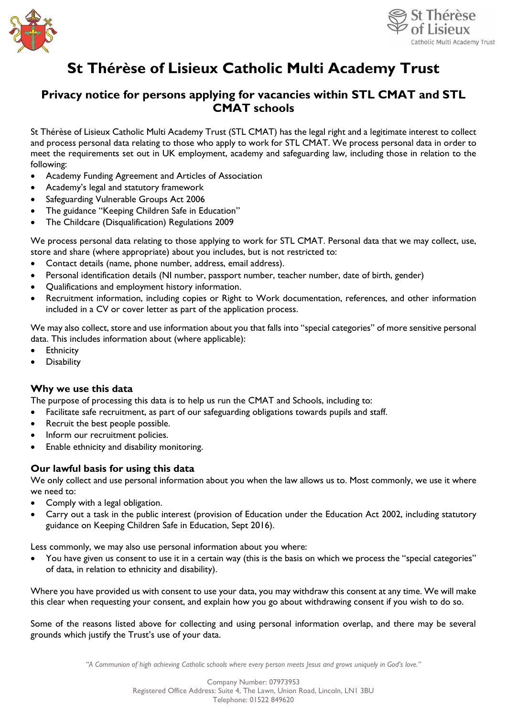



# **St Thérèse of Lisieux Catholic Multi Academy Trust**

# **Privacy notice for persons applying for vacancies within STL CMAT and STL CMAT schools**

St Thérèse of Lisieux Catholic Multi Academy Trust (STL CMAT) has the legal right and a legitimate interest to collect and process personal data relating to those who apply to work for STL CMAT. We process personal data in order to meet the requirements set out in UK employment, academy and safeguarding law, including those in relation to the following:

- Academy Funding Agreement and Articles of Association
- Academy's legal and statutory framework
- Safeguarding Vulnerable Groups Act 2006
- The guidance "Keeping Children Safe in Education"
- The Childcare (Disqualification) Regulations 2009

We process personal data relating to those applying to work for STL CMAT. Personal data that we may collect, use, store and share (where appropriate) about you includes, but is not restricted to:

- Contact details (name, phone number, address, email address).
- Personal identification details (NI number, passport number, teacher number, date of birth, gender)
- Qualifications and employment history information.
- Recruitment information, including copies or Right to Work documentation, references, and other information included in a CV or cover letter as part of the application process.

We may also collect, store and use information about you that falls into "special categories" of more sensitive personal data. This includes information about (where applicable):

- **Ethnicity**
- **Disability**

## **Why we use this data**

The purpose of processing this data is to help us run the CMAT and Schools, including to:

- Facilitate safe recruitment, as part of our safeguarding obligations towards pupils and staff.
- Recruit the best people possible.
- Inform our recruitment policies.
- Enable ethnicity and disability monitoring.

## **Our lawful basis for using this data**

We only collect and use personal information about you when the law allows us to. Most commonly, we use it where we need to:

- Comply with a legal obligation.
- Carry out a task in the public interest (provision of Education under the Education Act 2002, including statutory guidance on Keeping Children Safe in Education, Sept 2016).

Less commonly, we may also use personal information about you where:

You have given us consent to use it in a certain way (this is the basis on which we process the "special categories" of data, in relation to ethnicity and disability).

Where you have provided us with consent to use your data, you may withdraw this consent at any time. We will make this clear when requesting your consent, and explain how you go about withdrawing consent if you wish to do so.

Some of the reasons listed above for collecting and using personal information overlap, and there may be several grounds which justify the Trust's use of your data.

*"A Communion of high achieving Catholic schools where every person meets Jesus and grows uniquely in God's love."*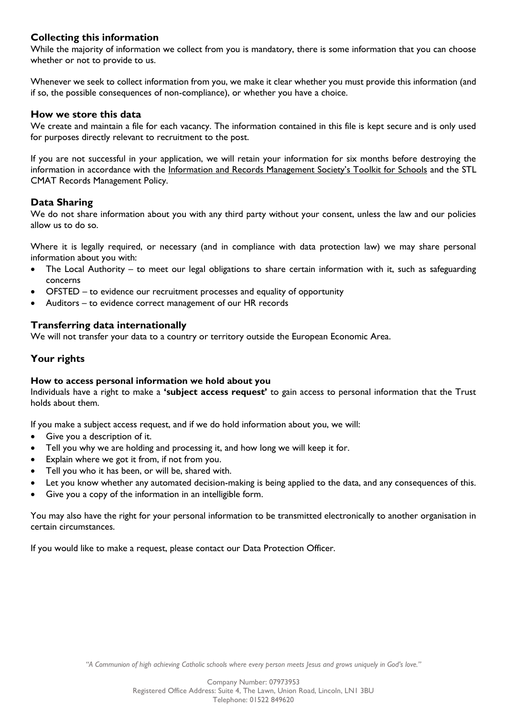# **Collecting this information**

While the majority of information we collect from you is mandatory, there is some information that you can choose whether or not to provide to us.

Whenever we seek to collect information from you, we make it clear whether you must provide this information (and if so, the possible consequences of non-compliance), or whether you have a choice.

#### **How we store this data**

We create and maintain a file for each vacancy. The information contained in this file is kept secure and is only used for purposes directly relevant to recruitment to the post.

If you are not successful in your application, we will retain your information for six months before destroying the information in accordance with the [Information and Records Management Society's Toolkit for Schools](http://irms.org.uk/?page=schoolstoolkit&terms=%22toolkit+and+schools%22) and the STL CMAT Records Management Policy.

#### **Data Sharing**

We do not share information about you with any third party without your consent, unless the law and our policies allow us to do so.

Where it is legally required, or necessary (and in compliance with data protection law) we may share personal information about you with:

- The Local Authority to meet our legal obligations to share certain information with it, such as safeguarding concerns
- OFSTED to evidence our recruitment processes and equality of opportunity
- Auditors to evidence correct management of our HR records

#### **Transferring data internationally**

We will not transfer your data to a country or territory outside the European Economic Area.

#### **Your rights**

#### **How to access personal information we hold about you**

Individuals have a right to make a **'subject access request'** to gain access to personal information that the Trust holds about them.

If you make a subject access request, and if we do hold information about you, we will:

- Give you a description of it.
- Tell you why we are holding and processing it, and how long we will keep it for.
- Explain where we got it from, if not from you.
- Tell you who it has been, or will be, shared with.
- Let you know whether any automated decision-making is being applied to the data, and any consequences of this.
- Give you a copy of the information in an intelligible form.

You may also have the right for your personal information to be transmitted electronically to another organisation in certain circumstances.

If you would like to make a request, please contact our Data Protection Officer.

*"A Communion of high achieving Catholic schools where every person meets Jesus and grows uniquely in God's love."*